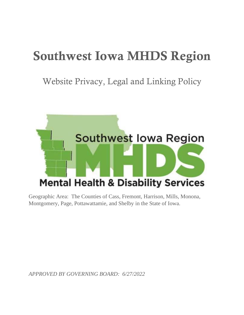# Southwest Iowa MHDS Region

Website Privacy, Legal and Linking Policy



Geographic Area: The Counties of Cass, Fremont, Harrison, Mills, Monona, Montgomery, Page, Pottawattamie, and Shelby in the State of Iowa.

*APPROVED BY GOVERNING BOARD: 6/27/2022*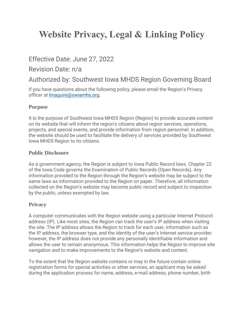# **Website Privacy, Legal & Linking Policy**

# Effective Date: June 27, 2022

### Revision Date: n/a

# Authorized by: Southwest Iowa MHDS Region Governing Board

If you have questions about the following policy, please email the Region's Privacy officer at [lmaguire@swiamhs.org.](mailto:lmaguire@swiamhs.org)

#### **Purpose**

It is the purpose of Southwest Iowa MHDS Region (Region) to provide accurate content on its website that will inform the region's citizens about region services, operations, projects, and special events, and provide information from region personnel. In addition, the website should be used to facilitate the delivery of services provided by Southwest Iowa MHDS Region to its citizens.

#### **Public Disclosure**

As a government agency, the Region is subject to Iowa Public Record laws. Chapter 22 of the Iowa Code governs the Examination of Public Records (Open Records). Any information provided to the Region through the Region's website may be subject to the same laws as information provided to the Region on paper. Therefore, all information collected on the Region's website may become public record and subject to inspection by the public, unless exempted by law.

#### **Privacy**

A computer communicates with the Region website using a particular Internet Protocol address (IP). Like most sites, the Region can track the user's IP address when visiting the site. The IP address allows the Region to track for each user, information such as the IP address, the browser type, and the identity of the user's Internet service provider: however, the IP address does not provide any personally identifiable information and allows the user to remain anonymous. This information helps the Region to improve site navigation and to make improvements to the Region's website and content.

To the extent that the Region website contains or may in the future contain online registration forms for special activities or other services, an applicant may be asked during the application process for name, address, e-mail address, phone number, birth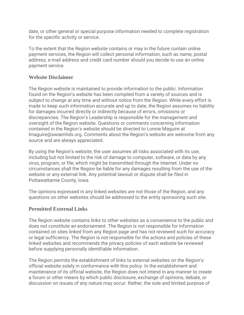date, or other general or special purpose information needed to complete registration for the specific activity or service.

To the extent that the Region website contains or may in the future contain online payment services, the Region will collect personal information, such as name, postal address, e-mail address and credit card number should you decide to use an online payment service.

#### **Website Disclaimer**

The Region website is maintained to provide information to the public. Information found on the Region's website has been compiled from a variety of sources and is subject to change at any time and without notice from the Region. While every effort is made to keep such information accurate and up to date, the Region assumes no liability for damages incurred directly or indirectly because of errors, omissions or discrepancies. The Region's Leadership is responsible for the management and oversight of the Region website. Questions or comments concerning information contained in the Region's website should be directed to Lonnie Maguire at lmaguire@swiamhds.org. Comments about the Region's website are welcome from any source and are always appreciated.

By using the Region's website, the user assumes all risks associated with its use, including but not limited to the risk of damage to computer, software, or data by any virus, program, or file, which might be transmitted through the Internet. Under no circumstances shall the Region be liable for any damages resulting from the use of the website or any external link. Any potential lawsuit or dispute shall be filed in Pottawattamie County, Iowa.

The opinions expressed in any linked websites are not those of the Region, and any questions on other websites should be addressed to the entity sponsoring such site.

#### **Permitted External Links**

The Region website contains links to other websites as a convenience to the public and does not constitute an endorsement. The Region is not responsible for information contained on sites linked from any Region page and has not reviewed such for accuracy or legal sufficiency. The Region is not responsible for the actions and policies of these linked websites and recommends the privacy policies of each website be reviewed before supplying personally identifiable information.

The Region permits the establishment of links to external websites on the Region's official website solely in conformance with this policy. In the establishment and maintenance of its official website, the Region does not intend in any manner to create a forum or other means by which public disclosure, exchange of opinions, debate, or discussion on issues of any nature may occur. Rather, the sole and limited purpose of